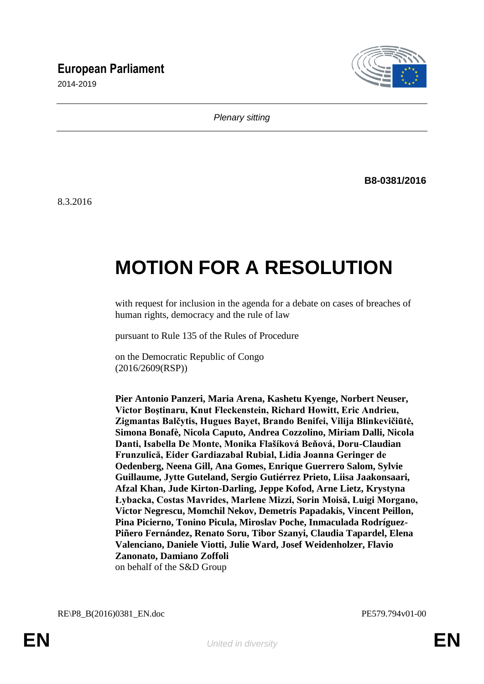## **European Parliament**

2014-2019



*Plenary sitting*

**B8-0381/2016**

8.3.2016

# **MOTION FOR A RESOLUTION**

with request for inclusion in the agenda for a debate on cases of breaches of human rights, democracy and the rule of law

pursuant to Rule 135 of the Rules of Procedure

on the Democratic Republic of Congo (2016/2609(RSP))

**Pier Antonio Panzeri, Maria Arena, Kashetu Kyenge, Norbert Neuser, Victor Boştinaru, Knut Fleckenstein, Richard Howitt, Eric Andrieu, Zigmantas Balčytis, Hugues Bayet, Brando Benifei, Vilija Blinkevičiūtė, Simona Bonafè, Nicola Caputo, Andrea Cozzolino, Miriam Dalli, Nicola Danti, Isabella De Monte, Monika Flašíková Beňová, Doru-Claudian Frunzulică, Eider Gardiazabal Rubial, Lidia Joanna Geringer de Oedenberg, Neena Gill, Ana Gomes, Enrique Guerrero Salom, Sylvie Guillaume, Jytte Guteland, Sergio Gutiérrez Prieto, Liisa Jaakonsaari, Afzal Khan, Jude Kirton-Darling, Jeppe Kofod, Arne Lietz, Krystyna Łybacka, Costas Mavrides, Marlene Mizzi, Sorin Moisă, Luigi Morgano, Victor Negrescu, Momchil Nekov, Demetris Papadakis, Vincent Peillon, Pina Picierno, Tonino Picula, Miroslav Poche, Inmaculada Rodríguez-Piñero Fernández, Renato Soru, Tibor Szanyi, Claudia Tapardel, Elena Valenciano, Daniele Viotti, Julie Ward, Josef Weidenholzer, Flavio Zanonato, Damiano Zoffoli** on behalf of the S&D Group

RE\P8\_B(2016)0381\_EN.doc PE579.794v01-00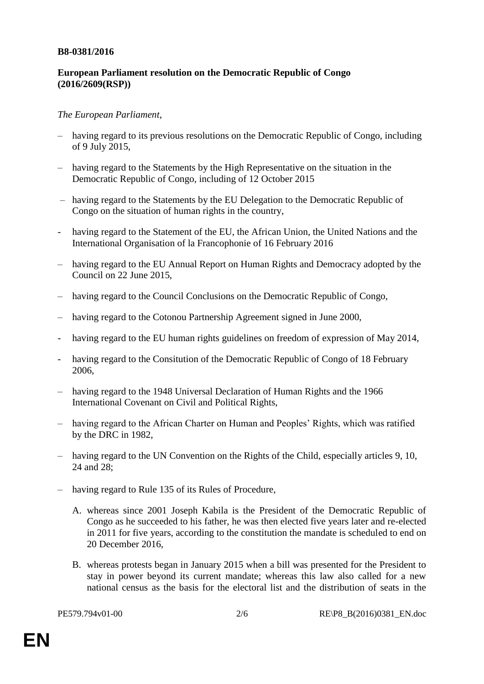#### **B8-0381/2016**

### **European Parliament resolution on the Democratic Republic of Congo (2016/2609(RSP))**

#### *The European Parliament*,

- having regard to its previous resolutions on the Democratic Republic of Congo, including of 9 July 2015,
- having regard to the Statements by the High Representative on the situation in the Democratic Republic of Congo, including of 12 October 2015
- having regard to the Statements by the EU Delegation to the Democratic Republic of Congo on the situation of human rights in the country,
- having regard to the Statement of the EU, the African Union, the United Nations and the International Organisation of la Francophonie of 16 February 2016
- having regard to the EU Annual Report on Human Rights and Democracy adopted by the Council on 22 June 2015,
- having regard to the Council Conclusions on the Democratic Republic of Congo,
- having regard to the Cotonou Partnership Agreement signed in June 2000,
- having regard to the EU human rights guidelines on freedom of expression of May 2014,
- having regard to the Consitution of the Democratic Republic of Congo of 18 February 2006,
- having regard to the 1948 Universal Declaration of Human Rights and the 1966 International Covenant on Civil and Political Rights,
- having regard to the African Charter on Human and Peoples" Rights, which was ratified by the DRC in 1982,
- having regard to the UN Convention on the Rights of the Child, especially articles 9, 10, 24 and 28;
- having regard to Rule 135 of its Rules of Procedure,
	- A. whereas since 2001 Joseph Kabila is the President of the Democratic Republic of Congo as he succeeded to his father, he was then elected five years later and re-elected in 2011 for five years, according to the constitution the mandate is scheduled to end on 20 December 2016,
	- B. whereas protests began in January 2015 when a bill was presented for the President to stay in power beyond its current mandate; whereas this law also called for a new national census as the basis for the electoral list and the distribution of seats in the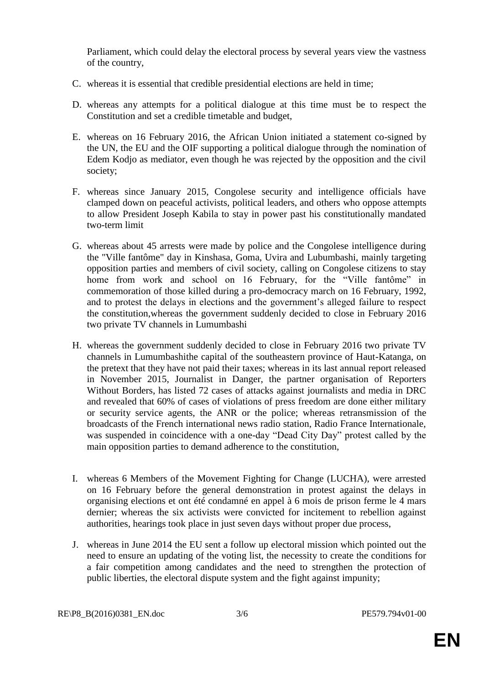Parliament, which could delay the electoral process by several years view the vastness of the country,

- C. whereas it is essential that credible presidential elections are held in time;
- D. whereas any attempts for a political dialogue at this time must be to respect the Constitution and set a credible timetable and budget,
- E. whereas on 16 February 2016, the African Union initiated a statement co-signed by the UN, the EU and the OIF supporting a political dialogue through the nomination of Edem Kodjo as mediator, even though he was rejected by the opposition and the civil society;
- F. whereas since January 2015, Congolese security and intelligence officials have clamped down on peaceful activists, political leaders, and others who oppose attempts to allow President Joseph Kabila to stay in power past his constitutionally mandated two-term limit
- G. whereas about 45 arrests were made by police and the Congolese intelligence during the "Ville fantôme" day in Kinshasa, Goma, Uvira and Lubumbashi, mainly targeting opposition parties and members of civil society, calling on Congolese citizens to stay home from work and school on 16 February, for the "Ville fantôme" in commemoration of those killed during a pro-democracy march on 16 February, 1992, and to protest the delays in elections and the government's alleged failure to respect the constitution,whereas the government suddenly decided to close in February 2016 two private TV channels in Lumumbashi
- H. whereas the government suddenly decided to close in February 2016 two private TV channels in Lumumbashithe capital of the southeastern province of Haut-Katanga, on the pretext that they have not paid their taxes; whereas in its last annual report released in November 2015, Journalist in Danger, the partner organisation of Reporters Without Borders, has listed 72 cases of attacks against journalists and media in DRC and revealed that 60% of cases of violations of press freedom are done either military or security service agents, the ANR or the police; whereas retransmission of the broadcasts of the French international news radio station, Radio France Internationale, was suspended in coincidence with a one-day "Dead City Day" protest called by the main opposition parties to demand adherence to the constitution,
- I. whereas 6 Members of the Movement Fighting for Change (LUCHA), were arrested on 16 February before the general demonstration in protest against the delays in organising elections et ont été condamné en appel à 6 mois de prison ferme le 4 mars dernier; whereas the six activists were convicted for incitement to rebellion against authorities, hearings took place in just seven days without proper due process,
- J. whereas in June 2014 the EU sent a follow up electoral mission which pointed out the need to ensure an updating of the voting list, the necessity to create the conditions for a fair competition among candidates and the need to strengthen the protection of public liberties, the electoral dispute system and the fight against impunity;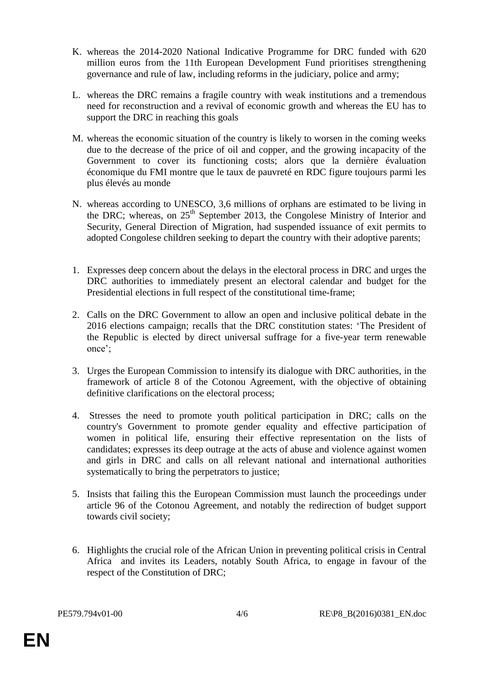- K. whereas the 2014-2020 National Indicative Programme for DRC funded with 620 million euros from the 11th European Development Fund prioritises strengthening governance and rule of law, including reforms in the judiciary, police and army;
- L. whereas the DRC remains a fragile country with weak institutions and a tremendous need for reconstruction and a revival of economic growth and whereas the EU has to support the DRC in reaching this goals
- M. whereas the economic situation of the country is likely to worsen in the coming weeks due to the decrease of the price of oil and copper, and the growing incapacity of the Government to cover its functioning costs; alors que la dernière évaluation économique du FMI montre que le taux de pauvreté en RDC figure toujours parmi les plus élevés au monde
- N. whereas according to UNESCO, 3,6 millions of orphans are estimated to be living in the DRC; whereas, on  $25<sup>th</sup>$  September 2013, the Congolese Ministry of Interior and Security, General Direction of Migration, had suspended issuance of exit permits to adopted Congolese children seeking to depart the country with their adoptive parents;
- 1. Expresses deep concern about the delays in the electoral process in DRC and urges the DRC authorities to immediately present an electoral calendar and budget for the Presidential elections in full respect of the constitutional time-frame;
- 2. Calls on the DRC Government to allow an open and inclusive political debate in the 2016 elections campaign; recalls that the DRC constitution states: "The President of the Republic is elected by direct universal suffrage for a five-year term renewable once";
- 3. Urges the European Commission to intensify its dialogue with DRC authorities, in the framework of article 8 of the Cotonou Agreement, with the objective of obtaining definitive clarifications on the electoral process;
- 4. Stresses the need to promote youth political participation in DRC; calls on the country's Government to promote gender equality and effective participation of women in political life, ensuring their effective representation on the lists of candidates; expresses its deep outrage at the acts of abuse and violence against women and girls in DRC and calls on all relevant national and international authorities systematically to bring the perpetrators to justice;
- 5. Insists that failing this the European Commission must launch the proceedings under article 96 of the Cotonou Agreement, and notably the redirection of budget support towards civil society;
- 6. Highlights the crucial role of the African Union in preventing political crisis in Central Africa and invites its Leaders, notably South Africa, to engage in favour of the respect of the Constitution of DRC;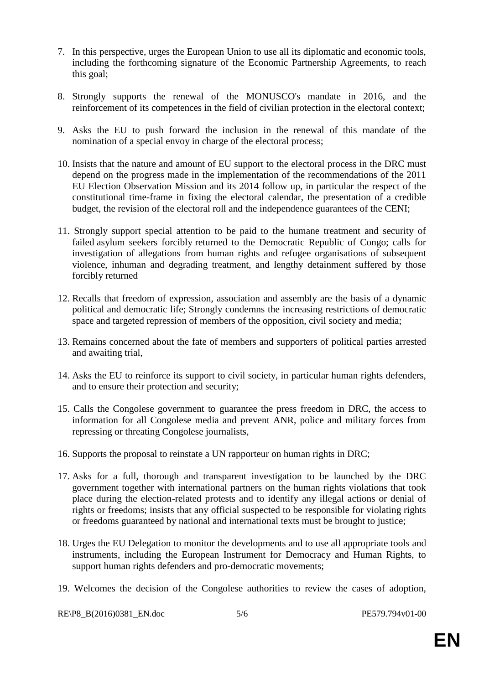- 7. In this perspective, urges the European Union to use all its diplomatic and economic tools, including the forthcoming signature of the Economic Partnership Agreements, to reach this goal;
- 8. Strongly supports the renewal of the MONUSCO's mandate in 2016, and the reinforcement of its competences in the field of civilian protection in the electoral context;
- 9. Asks the EU to push forward the inclusion in the renewal of this mandate of the nomination of a special envoy in charge of the electoral process;
- 10. Insists that the nature and amount of EU support to the electoral process in the DRC must depend on the progress made in the implementation of the recommendations of the 2011 EU Election Observation Mission and its 2014 follow up, in particular the respect of the constitutional time-frame in fixing the electoral calendar, the presentation of a credible budget, the revision of the electoral roll and the independence guarantees of the CENI;
- 11. Strongly support special attention to be paid to the humane treatment and security of failed asylum seekers forcibly returned to the Democratic Republic of Congo; calls for investigation of allegations from human rights and refugee organisations of subsequent violence, inhuman and degrading treatment, and lengthy detainment suffered by those forcibly returned
- 12. Recalls that freedom of expression, association and assembly are the basis of a dynamic political and democratic life; Strongly condemns the increasing restrictions of democratic space and targeted repression of members of the opposition, civil society and media;
- 13. Remains concerned about the fate of members and supporters of political parties arrested and awaiting trial,
- 14. Asks the EU to reinforce its support to civil society, in particular human rights defenders, and to ensure their protection and security;
- 15. Calls the Congolese government to guarantee the press freedom in DRC, the access to information for all Congolese media and prevent ANR, police and military forces from repressing or threating Congolese journalists,
- 16. Supports the proposal to reinstate a UN rapporteur on human rights in DRC;
- 17. Asks for a full, thorough and transparent investigation to be launched by the DRC government together with international partners on the human rights violations that took place during the election-related protests and to identify any illegal actions or denial of rights or freedoms; insists that any official suspected to be responsible for violating rights or freedoms guaranteed by national and international texts must be brought to justice;
- 18. Urges the EU Delegation to monitor the developments and to use all appropriate tools and instruments, including the European Instrument for Democracy and Human Rights, to support human rights defenders and pro-democratic movements;
- 19. Welcomes the decision of the Congolese authorities to review the cases of adoption,

RE\P8\_B(2016)0381\_EN.doc 5/6 PE579.794v01-00